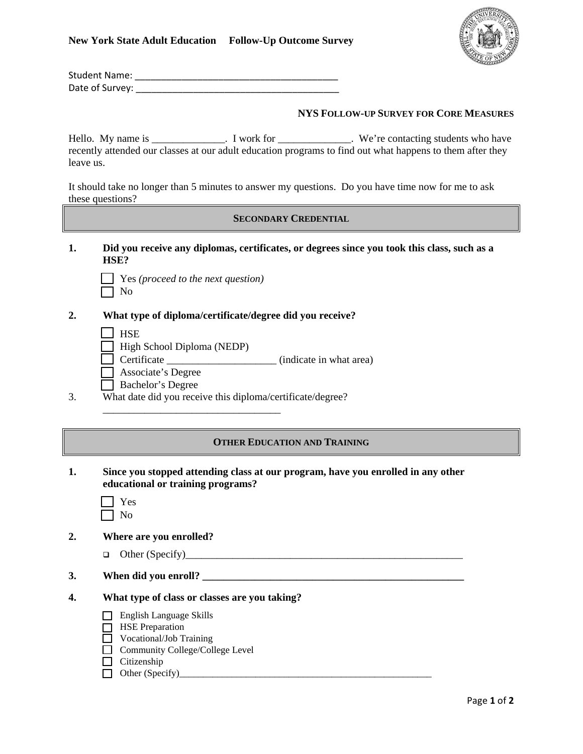

| <b>Student Name:</b> |  |
|----------------------|--|
| Date of Survey:      |  |

## **NYS FOLLOW-UP SURVEY FOR CORE MEASURES**

Hello. My name is \_\_\_\_\_\_\_\_\_\_\_\_\_. I work for \_\_\_\_\_\_\_\_\_\_\_\_. We're contacting students who have recently attended our classes at our adult education programs to find out what happens to them after they leave us.

It should take no longer than 5 minutes to answer my questions. Do you have time now for me to ask these questions?

## **SECONDARY CREDENTIAL**

**1. Did you receive any diplomas, certificates, or degrees since you took this class, such as a HSE?** 

| $\Box$ Yes (proceed to the next question) |  |  |
|-------------------------------------------|--|--|
| $\Box$ No                                 |  |  |

**2. What type of diploma/certificate/degree did you receive?** 

 $\Box$  HSE

High School Diploma (NEDP)

 $\overline{\phantom{a}}$  ,  $\overline{\phantom{a}}$  ,  $\overline{\phantom{a}}$  ,  $\overline{\phantom{a}}$  ,  $\overline{\phantom{a}}$  ,  $\overline{\phantom{a}}$  ,  $\overline{\phantom{a}}$  ,  $\overline{\phantom{a}}$  ,  $\overline{\phantom{a}}$  ,  $\overline{\phantom{a}}$  ,  $\overline{\phantom{a}}$  ,  $\overline{\phantom{a}}$  ,  $\overline{\phantom{a}}$  ,  $\overline{\phantom{a}}$  ,  $\overline{\phantom{a}}$  ,  $\overline{\phantom{a}}$ 

Certificate \_\_\_\_\_\_\_\_\_\_\_\_\_\_\_\_\_\_\_\_\_ (indicate in what area)

- Associate's Degree
- Bachelor's Degree
- 3. What date did you receive this diploma/certificate/degree?

## **OTHER EDUCATION AND TRAINING**

**1. Since you stopped attending class at our program, have you enrolled in any other educational or training programs?** 

- **2. Where are you enrolled?** 
	- Other (Specify)\_\_\_\_\_\_\_\_\_\_\_\_\_\_\_\_\_\_\_\_\_\_\_\_\_\_\_\_\_\_\_\_\_\_\_\_\_\_\_\_\_\_\_\_\_\_\_\_\_\_\_\_\_
- **3. When did you enroll? \_\_\_\_\_\_\_\_\_\_\_\_\_\_\_\_\_\_\_\_\_\_\_\_\_\_\_\_\_\_\_\_\_\_\_\_\_\_\_\_\_\_\_\_\_\_\_\_\_\_**
- **4. What type of class or classes are you taking?** 
	- **English Language Skills**
	- $\Box$  HSE Preparation
	- Vocational/Job Training
	- $\Box$  Community College/College Level
	- $\Box$  Citizenship
	- Other (Specify)\_\_\_\_\_\_\_\_\_\_\_\_\_\_\_\_\_\_\_\_\_\_\_\_\_\_\_\_\_\_\_\_\_\_\_\_\_\_\_\_\_\_\_\_\_\_\_\_\_\_\_\_\_